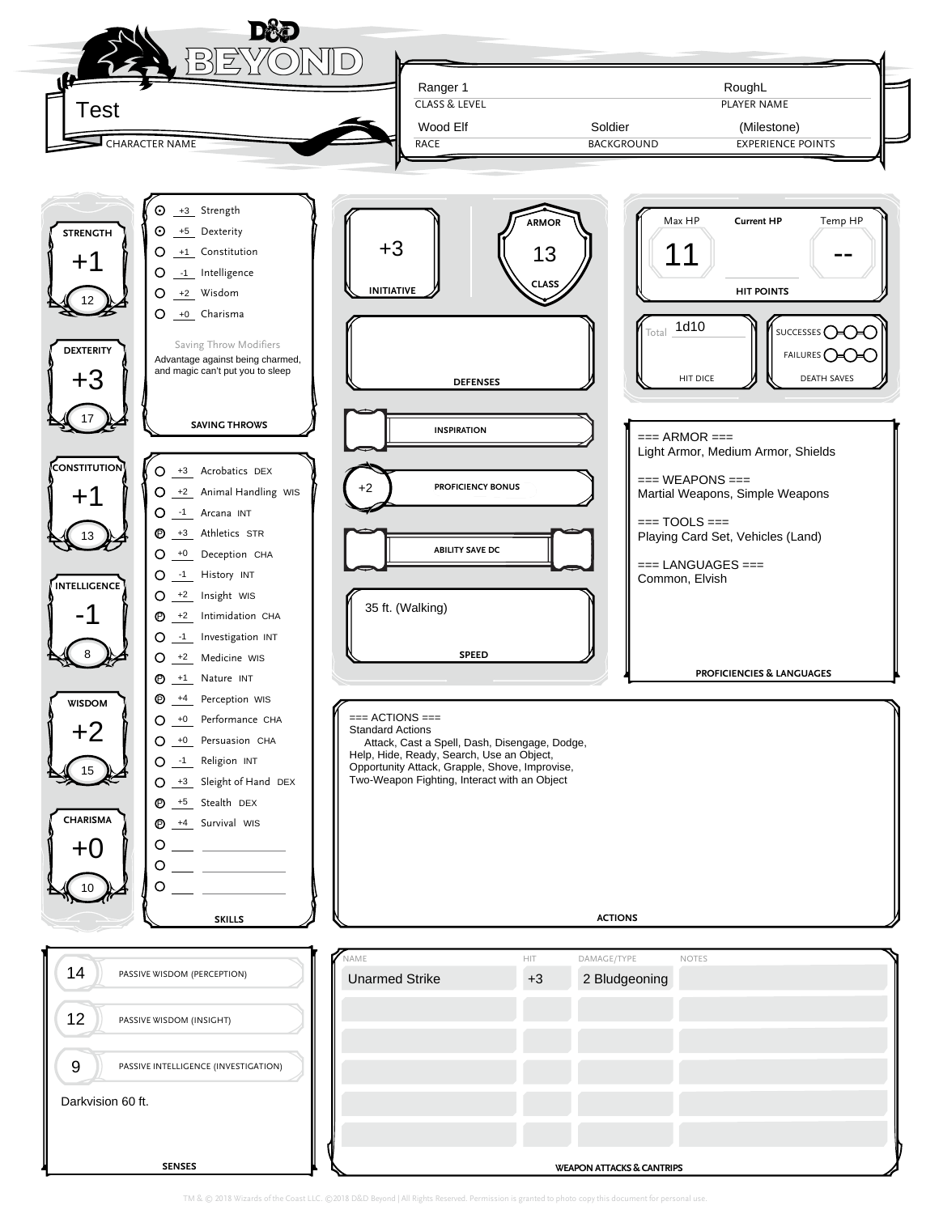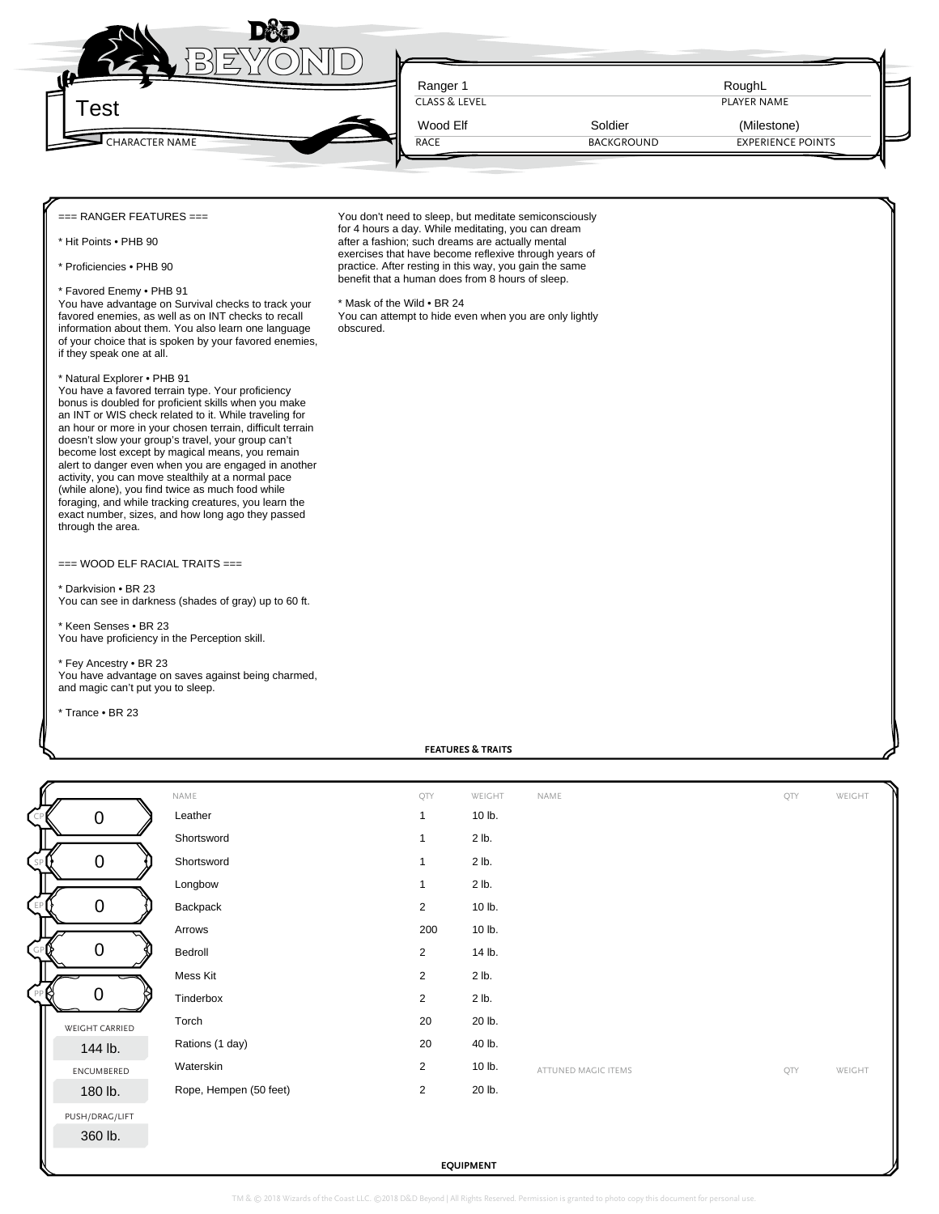

CLASS & LEVEL **PLAYER NAME** 

You don't need to sleep, but meditate semiconsciously for 4 hours a day. While meditating, you can dream after a fashion; such dreams are actually mental exercises that have become reflexive through years of practice. After resting in this way, you gain the same benefit that a human does from 8 hours of sleep.

You can attempt to hide even when you are only lightly

RACE

\* Mask of the Wild • BR 24

obscured.

=== RANGER FEATURES ===

\* Hit Points • PHB 90

\* Proficiencies • PHB 90

## \* Favored Enemy • PHB 91

You have advantage on Survival checks to track your favored enemies, as well as on INT checks to recall information about them. You also learn one language of your choice that is spoken by your favored enemies, if they speak one at all.

## \* Natural Explorer • PHB 91

You have a favored terrain type. Your proficiency bonus is doubled for proficient skills when you make an INT or WIS check related to it. While traveling for an hour or more in your chosen terrain, difficult terrain doesn't slow your group's travel, your group can't become lost except by magical means, you remain alert to danger even when you are engaged in another activity, you can move stealthily at a normal pace (while alone), you find twice as much food while foraging, and while tracking creatures, you learn the exact number, sizes, and how long ago they passed through the area.

## === WOOD ELF RACIAL TRAITS ===

\* Darkvision • BR 23 You can see in darkness (shades of gray) up to 60 ft.

\* Keen Senses • BR 23 You have proficiency in the Perception skill.

\* Fey Ancestry • BR 23 You have advantage on saves against being charmed, and magic can't put you to sleep.

\* Trance • BR 23

**FEATURES & TRAITS** CP EP PP GP SP WEIGHT CARRIED ENCUMBERED PUSH/DRAG/LIFT NAME QTY WEIGHT NAME QTY WEIGHT ATTUNED MAGIC ITEMS **CONTROLLER WEIGHT**  $0 0 0 0 0 0 0 0 0$ 0<br>
Shortsword<br>
Shortsword<br>
Longbow<br>
Longbow<br>
Backpack<br>
Arrows<br>
2 10 lb.<br>
Arrows<br>
20 10 lb.<br>
Arrows<br>
20 10 lb.<br>
20 10 lb.<br>
20 10 lb.<br>
20 10 lb.<br>
20 10 lb.<br>
20 10 lb.<br>
20 10 lb.<br>
20 20 lb.<br>
20 10 lb.<br>
20 20 lb.<br>
20 20 lb.<br>
2

**EQUIPMENT**

TM & © 2018 Wizards of the Coast LLC. ©2018 D&D Beyond | All Rights Reserved. Permission is gra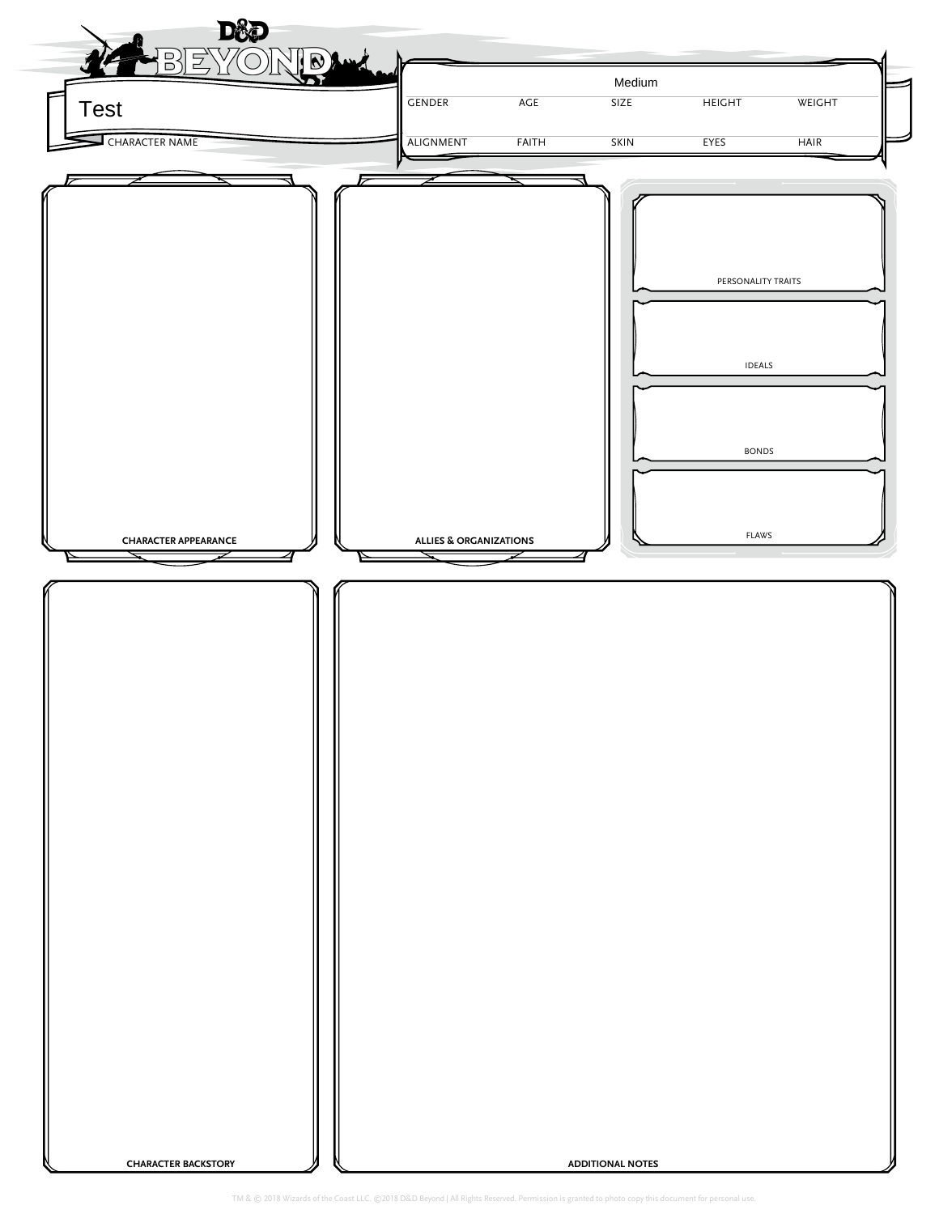